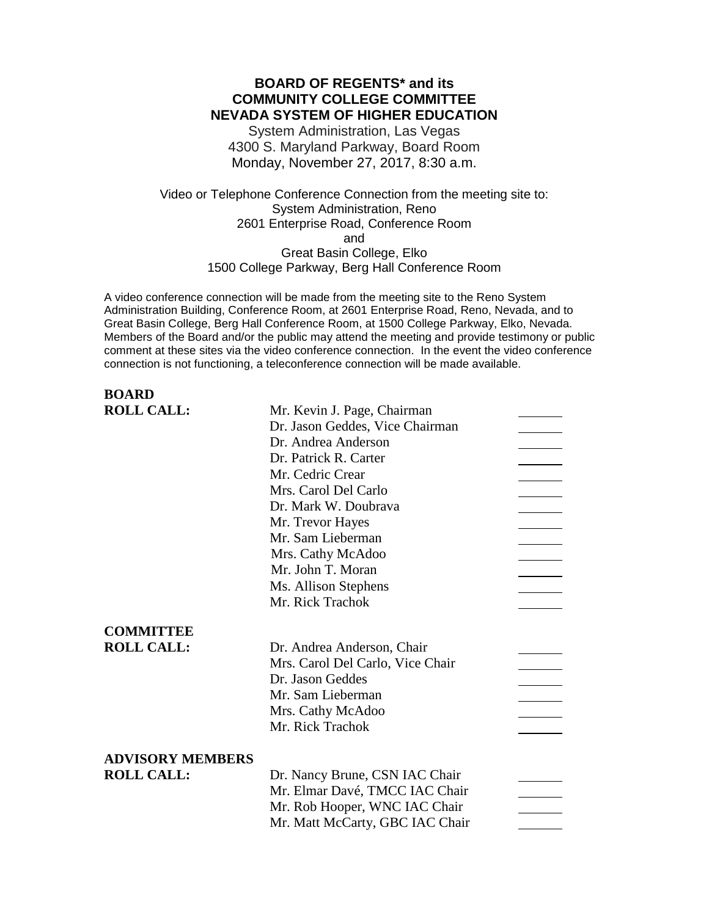# **BOARD OF REGENTS\* and its COMMUNITY COLLEGE COMMITTEE NEVADA SYSTEM OF HIGHER EDUCATION**

System Administration, Las Vegas 4300 S. Maryland Parkway, Board Room Monday, November 27, 2017, 8:30 a.m.

Video or Telephone Conference Connection from the meeting site to: System Administration, Reno 2601 Enterprise Road, Conference Room and Great Basin College, Elko 1500 College Parkway, Berg Hall Conference Room

A video conference connection will be made from the meeting site to the Reno System Administration Building, Conference Room, at 2601 Enterprise Road, Reno, Nevada, and to Great Basin College, Berg Hall Conference Room, at 1500 College Parkway, Elko, Nevada. Members of the Board and/or the public may attend the meeting and provide testimony or public comment at these sites via the video conference connection. In the event the video conference connection is not functioning, a teleconference connection will be made available.

# **BOARD ROLL CALL:** Mr. Kevin J. Page, Chairman Dr. Jason Geddes, Vice Chairman Dr. Andrea Anderson Dr. Patrick R. Carter Mr. Cedric Crear Mrs. Carol Del Carlo Dr. Mark W. Doubrava Mr. Trevor Hayes Mr. Sam Lieberman Mrs. Cathy McAdoo Mr. John T. Moran Ms. Allison Stephens Mr. Rick Trachok **COMMITTEE ROLL CALL:** Dr. Andrea Anderson, Chair Mrs. Carol Del Carlo, Vice Chair Dr. Jason Geddes Mr. Sam Lieberman Mrs. Cathy McAdoo Mr. Rick Trachok **ADVISORY MEMBERS ROLL CALL:** Dr. Nancy Brune, CSN IAC Chair Mr. Elmar Davé, TMCC IAC Chair Mr. Rob Hooper, WNC IAC Chair Mr. Matt McCarty, GBC IAC Chair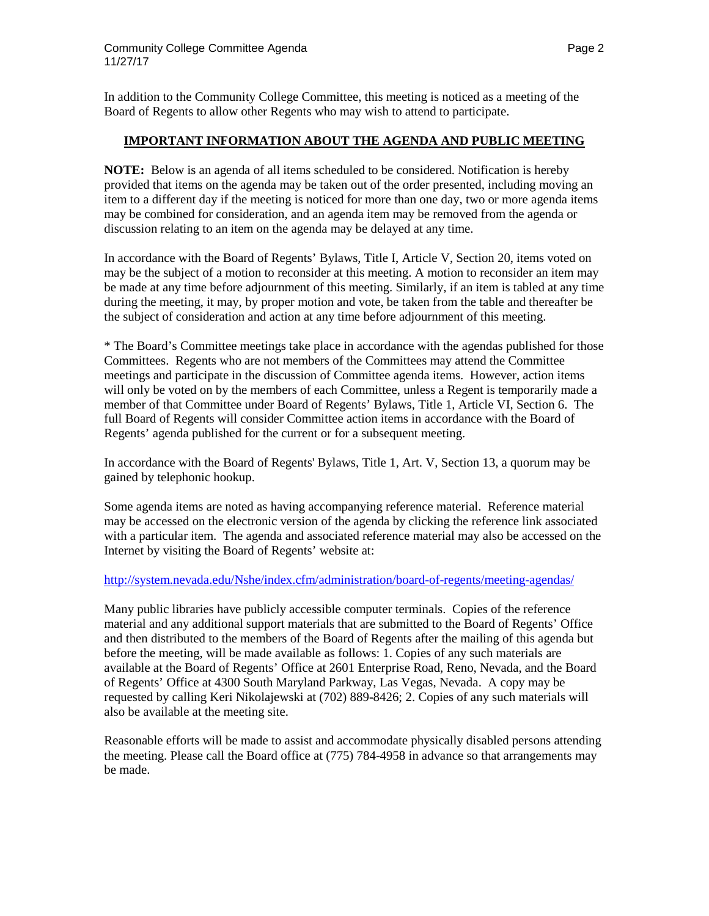In addition to the Community College Committee, this meeting is noticed as a meeting of the Board of Regents to allow other Regents who may wish to attend to participate.

### **IMPORTANT INFORMATION ABOUT THE AGENDA AND PUBLIC MEETING**

**NOTE:** Below is an agenda of all items scheduled to be considered. Notification is hereby provided that items on the agenda may be taken out of the order presented, including moving an item to a different day if the meeting is noticed for more than one day, two or more agenda items may be combined for consideration, and an agenda item may be removed from the agenda or discussion relating to an item on the agenda may be delayed at any time.

In accordance with the Board of Regents' Bylaws, Title I, Article V, Section 20, items voted on may be the subject of a motion to reconsider at this meeting. A motion to reconsider an item may be made at any time before adjournment of this meeting. Similarly, if an item is tabled at any time during the meeting, it may, by proper motion and vote, be taken from the table and thereafter be the subject of consideration and action at any time before adjournment of this meeting.

\* The Board's Committee meetings take place in accordance with the agendas published for those Committees. Regents who are not members of the Committees may attend the Committee meetings and participate in the discussion of Committee agenda items. However, action items will only be voted on by the members of each Committee, unless a Regent is temporarily made a member of that Committee under Board of Regents' Bylaws, Title 1, Article VI, Section 6. The full Board of Regents will consider Committee action items in accordance with the Board of Regents' agenda published for the current or for a subsequent meeting.

In accordance with the Board of Regents' Bylaws, Title 1, Art. V, Section 13, a quorum may be gained by telephonic hookup.

Some agenda items are noted as having accompanying reference material. Reference material may be accessed on the electronic version of the agenda by clicking the reference link associated with a particular item. The agenda and associated reference material may also be accessed on the Internet by visiting the Board of Regents' website at:

### <http://system.nevada.edu/Nshe/index.cfm/administration/board-of-regents/meeting-agendas/>

Many public libraries have publicly accessible computer terminals. Copies of the reference material and any additional support materials that are submitted to the Board of Regents' Office and then distributed to the members of the Board of Regents after the mailing of this agenda but before the meeting, will be made available as follows: 1. Copies of any such materials are available at the Board of Regents' Office at 2601 Enterprise Road, Reno, Nevada, and the Board of Regents' Office at 4300 South Maryland Parkway, Las Vegas, Nevada. A copy may be requested by calling Keri Nikolajewski at (702) 889-8426; 2. Copies of any such materials will also be available at the meeting site.

Reasonable efforts will be made to assist and accommodate physically disabled persons attending the meeting. Please call the Board office at (775) 784-4958 in advance so that arrangements may be made.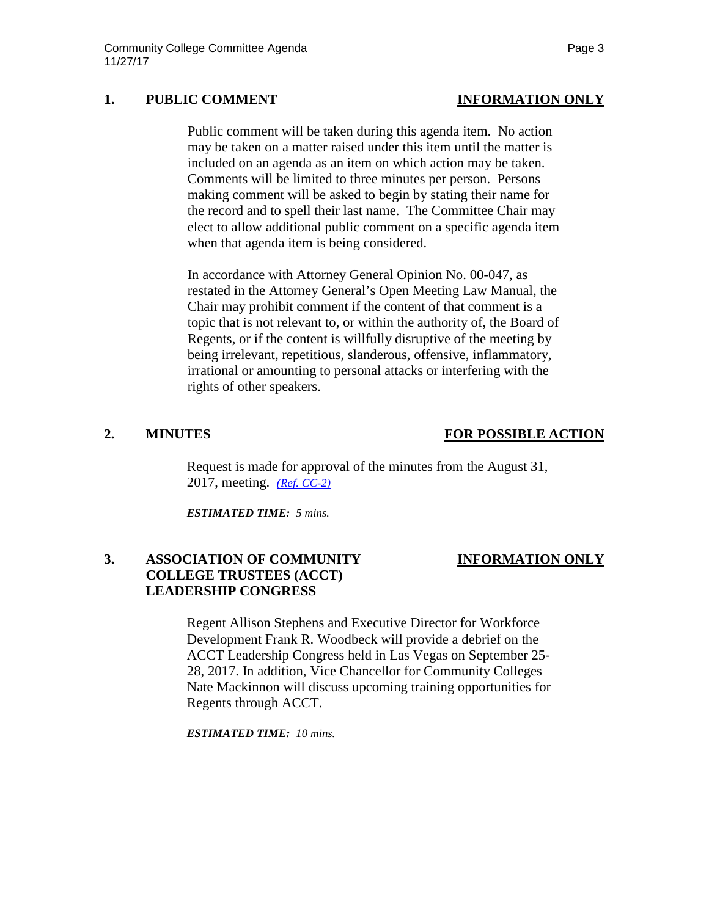## **1. PUBLIC COMMENT INFORMATION ONLY**

Public comment will be taken during this agenda item. No action may be taken on a matter raised under this item until the matter is included on an agenda as an item on which action may be taken. Comments will be limited to three minutes per person. Persons making comment will be asked to begin by stating their name for the record and to spell their last name. The Committee Chair may elect to allow additional public comment on a specific agenda item when that agenda item is being considered.

In accordance with Attorney General Opinion No. 00-047, as restated in the Attorney General's Open Meeting Law Manual, the Chair may prohibit comment if the content of that comment is a topic that is not relevant to, or within the authority of, the Board of Regents, or if the content is willfully disruptive of the meeting by being irrelevant, repetitious, slanderous, offensive, inflammatory, irrational or amounting to personal attacks or interfering with the rights of other speakers.

## **2. MINUTES FOR POSSIBLE ACTION**

Request is made for approval of the minutes from the August 31, 2017, meeting. *[\(Ref. CC-2\)](https://nshe.nevada.edu/wp-content/uploads/file/BoardOfRegents/Agendas/2017/nov-mtgs/cc-ref/CC-2.pdf)*

*ESTIMATED TIME: 5 mins.*

# **3. ASSOCIATION OF COMMUNITY INFORMATION ONLY COLLEGE TRUSTEES (ACCT) LEADERSHIP CONGRESS**

Regent Allison Stephens and Executive Director for Workforce Development Frank R. Woodbeck will provide a debrief on the ACCT Leadership Congress held in Las Vegas on September 25- 28, 2017. In addition, Vice Chancellor for Community Colleges Nate Mackinnon will discuss upcoming training opportunities for Regents through ACCT.

*ESTIMATED TIME: 10 mins.*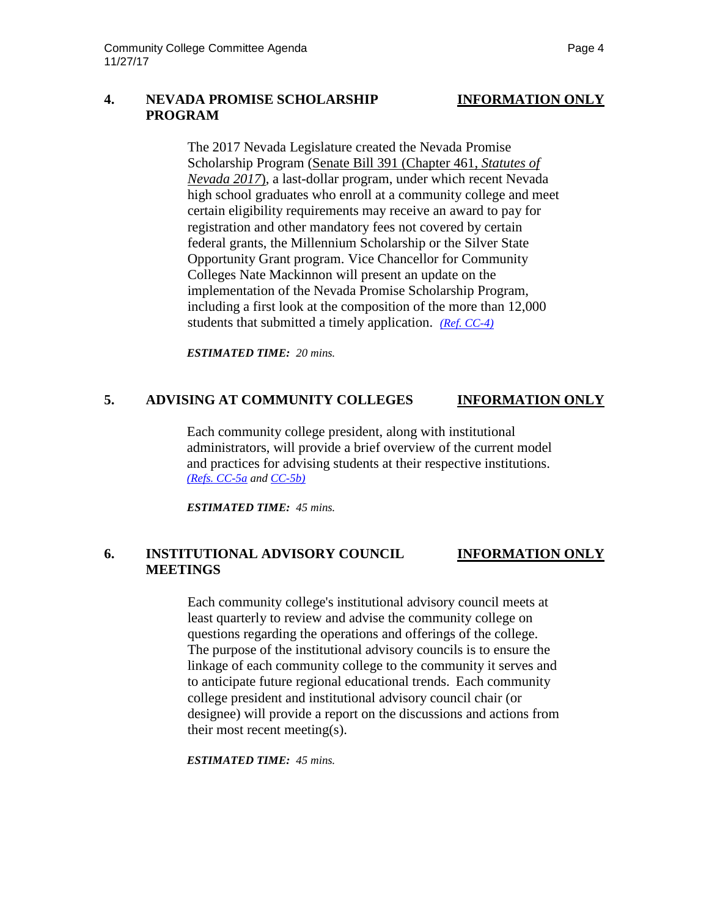### **4. NEVADA PROMISE SCHOLARSHIP INFORMATION ONLY PROGRAM**

The 2017 Nevada Legislature created the Nevada Promise Scholarship Program [\(Senate Bill 391 \(Chapter 461,](https://na01.safelinks.protection.outlook.com/?url=https%3A%2F%2Fwww.leg.state.nv.us%2FSession%2F79th2017%2FReports%2Fhistory.cfm%3Fbillname%3DSB391&data=02%7C01%7CCABBA%40nshe.nevada.edu%7Cca89aec595fd41c5e11a08d4e417e634%7C8ff9d11a9e074150ac216eedccccc3d3%7C0%7C0%7C636384238695398974&sdata=nfcWjuEqrk1juerwI%2BKkXmfcUFdhxNasNq8vf9jD%2BJA%3D&reserved=0) *Statutes of [Nevada 2017](https://na01.safelinks.protection.outlook.com/?url=https%3A%2F%2Fwww.leg.state.nv.us%2FSession%2F79th2017%2FReports%2Fhistory.cfm%3Fbillname%3DSB391&data=02%7C01%7CCABBA%40nshe.nevada.edu%7Cca89aec595fd41c5e11a08d4e417e634%7C8ff9d11a9e074150ac216eedccccc3d3%7C0%7C0%7C636384238695398974&sdata=nfcWjuEqrk1juerwI%2BKkXmfcUFdhxNasNq8vf9jD%2BJA%3D&reserved=0)*), a last-dollar program, under which recent Nevada high school graduates who enroll at a community college and meet certain eligibility requirements may receive an award to pay for registration and other mandatory fees not covered by certain federal grants, the Millennium Scholarship or the Silver State Opportunity Grant program. Vice Chancellor for Community Colleges Nate Mackinnon will present an update on the implementation of the Nevada Promise Scholarship Program, including a first look at the composition of the more than 12,000 students that submitted a timely application. *[\(Ref. CC-4\)](https://nshe.nevada.edu/wp-content/uploads/file/BoardOfRegents/Agendas/2017/nov-mtgs/cc-ref/CC-4.pdf)*

*ESTIMATED TIME: 20 mins.*

## **5. ADVISING AT COMMUNITY COLLEGES INFORMATION ONLY**

Each community college president, along with institutional administrators, will provide a brief overview of the current model and practices for advising students at their respective institutions. *[\(Refs. CC-5a](https://nshe.nevada.edu/wp-content/uploads/file/BoardOfRegents/Agendas/2017/nov-mtgs/cc-ref/CC-5a.pdf) an[d CC-5b\)](https://nshe.nevada.edu/wp-content/uploads/file/BoardOfRegents/Agendas/2017/nov-mtgs/cc-ref/CC-5b.pdf)*

*ESTIMATED TIME: 45 mins.*

## **6. INSTITUTIONAL ADVISORY COUNCIL INFORMATION ONLY MEETINGS**

Each community college's institutional advisory council meets at least quarterly to review and advise the community college on questions regarding the operations and offerings of the college. The purpose of the institutional advisory councils is to ensure the linkage of each community college to the community it serves and to anticipate future regional educational trends. Each community college president and institutional advisory council chair (or designee) will provide a report on the discussions and actions from their most recent meeting(s).

*ESTIMATED TIME: 45 mins.*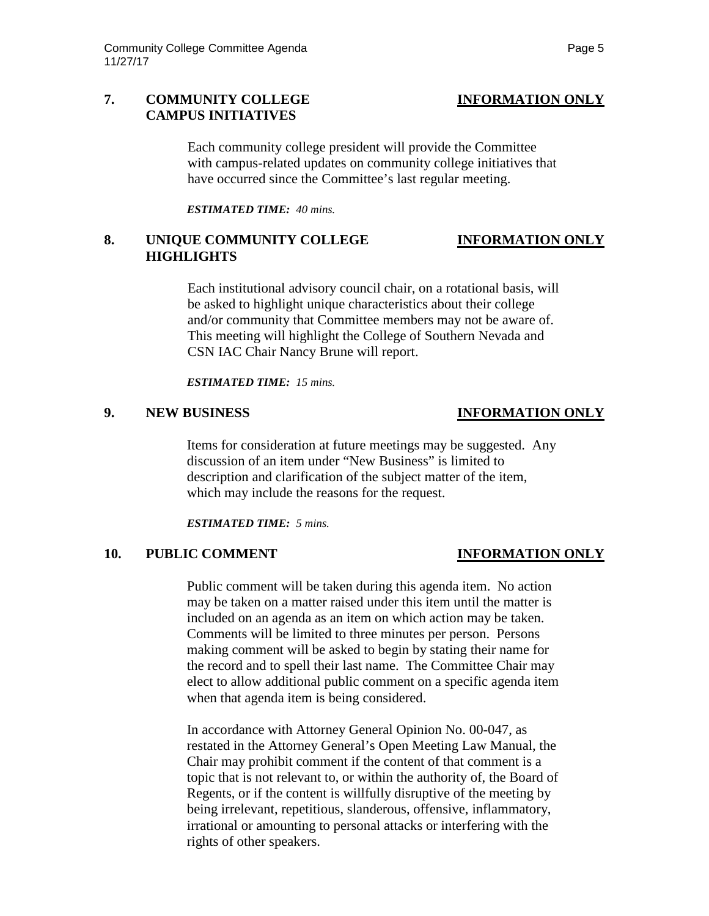## **7. COMMUNITY COLLEGE INFORMATION ONLY CAMPUS INITIATIVES**

Each community college president will provide the Committee with campus-related updates on community college initiatives that have occurred since the Committee's last regular meeting.

*ESTIMATED TIME: 40 mins.*

## **8. UNIQUE COMMUNITY COLLEGE INFORMATION ONLY HIGHLIGHTS**

Each institutional advisory council chair, on a rotational basis, will be asked to highlight unique characteristics about their college and/or community that Committee members may not be aware of. This meeting will highlight the College of Southern Nevada and CSN IAC Chair Nancy Brune will report.

*ESTIMATED TIME: 15 mins.*

### **9. NEW BUSINESS INFORMATION ONLY**

Items for consideration at future meetings may be suggested. Any discussion of an item under "New Business" is limited to description and clarification of the subject matter of the item, which may include the reasons for the request.

*ESTIMATED TIME: 5 mins.*

## **10. PUBLIC COMMENT INFORMATION ONLY**

Public comment will be taken during this agenda item. No action may be taken on a matter raised under this item until the matter is included on an agenda as an item on which action may be taken. Comments will be limited to three minutes per person. Persons making comment will be asked to begin by stating their name for the record and to spell their last name. The Committee Chair may elect to allow additional public comment on a specific agenda item when that agenda item is being considered.

In accordance with Attorney General Opinion No. 00-047, as restated in the Attorney General's Open Meeting Law Manual, the Chair may prohibit comment if the content of that comment is a topic that is not relevant to, or within the authority of, the Board of Regents, or if the content is willfully disruptive of the meeting by being irrelevant, repetitious, slanderous, offensive, inflammatory, irrational or amounting to personal attacks or interfering with the rights of other speakers.